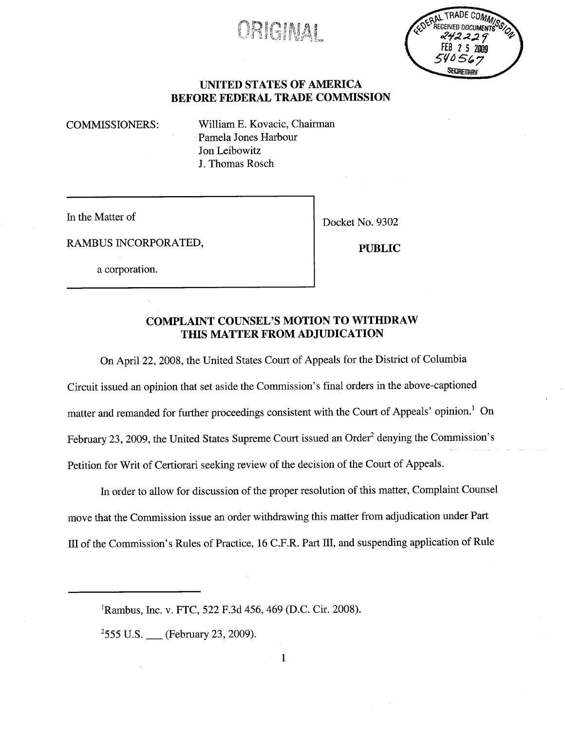# 0RIC:M4!

FEB 2 5 2009 **CAN TRADA** 

## UNITED STATES OF AMERICA BEFORE FEDERAL TRADE COMMSSION

COMMISSIONERS: Wiliam E. Kovacic, Chairman Pamela Jones Harbour Jon Leibowitz J. Thomas Rosch

In the Matter of Docket No. 9302

RAMBUS INCORPORATED, PUBLIC

a corporation.

## COMPLAINT COUNSEL'S MOTION TO WITHDRAW THIS MATTER FROM ADJUDICATION

On April 22, 2008, the United States Court of Appeals for the District of Columbia

Circuit issued an opinion that set aside the Commission's final orders in the above-captioned matter and remanded for further proceedings consistent with the Court of Appeals' opinion.<sup>1</sup> On February 23, 2009, the United States Supreme Court issued an Order<sup>2</sup> denying the Commission's Petition for Writ of Certiorari seeking review of the decision of the Court of Appeals.

In order to allow for discussion of the proper resolution of this matter, Complaint Counsel move that the Commission issue an order withdrawing this matter from adjudication under Part II of the Commission's Rules of Practice, 16 C.F.R. Part II, and suspending application of Rule

<sup>1</sup>Rambus, Inc. v. FTC, 522 F.3d 456, 469 (D.C. Cir. 2008).

 $2555$  U.S.  $\_\_\$  (February 23, 2009).

1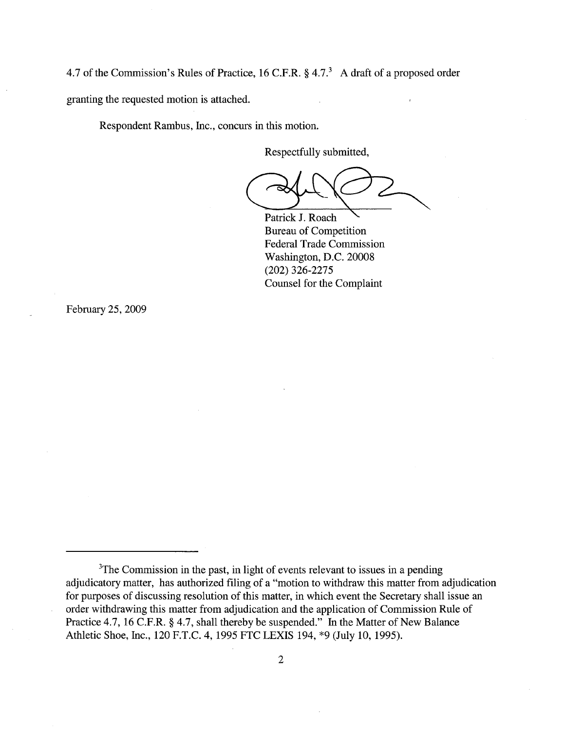4.7 of the Commission's Rules of Practice, 16 C.F.R.  $\S$  4.7.<sup>3</sup> A draft of a proposed order granting the requested motion is attached.

Respondent Rambus, Inc., concurs in this motion.

Respectfully submitted,

and Competition Bureau of Competition

Bureau of Competition Federal Trade Commission Washington, D.C. 20008 (202) 326-2275 Counsel for the Complaint

February 25, 2009

<sup>&</sup>lt;sup>3</sup>The Commission in the past, in light of events relevant to issues in a pending adjudicatory matter, has authorized fiing of a "motion to withdraw this matter from adjudication for purposes of discussing resolution of this matter, in which event the Secretary shall issue an order withdrawing this matter from adjudication and the application of Commission Rule of Practice 4.7, 16 C.F.R. § 4.7, shall thereby be suspended." In the Matter of New Balance Athletic Shoe, Inc., 120 F.T.C. 4, 1995 FTC LEXIS 194, \*9 (July 10, 1995).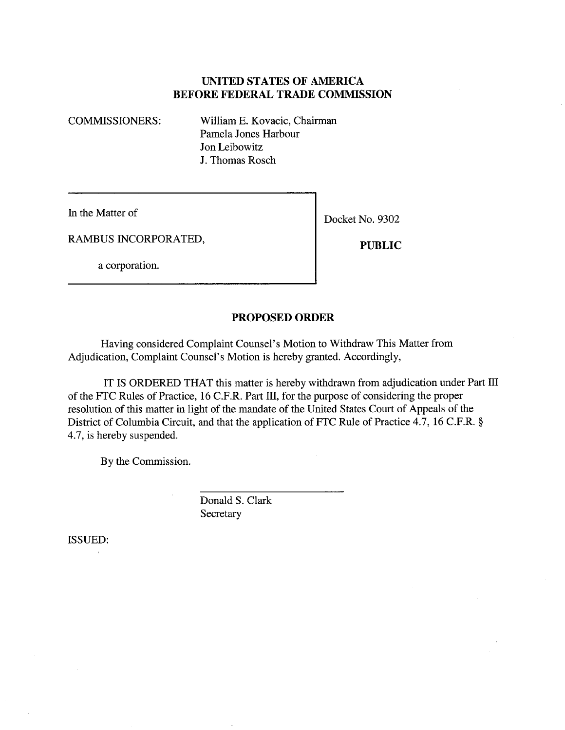#### UNITED STATES OF AMERICA BEFORE FEDERAL TRADE COMMSSION

COMMISSIONERS: Wiliam E. Kovacic, Chairman Pamela Jones Harbour Jon Leibowitz J. Thomas Rosch

In the Matter of Docket No. 9302

RAMBUS INCORPORATED, PUBLIC

a corporation.

#### PROPOSED ORDER

Having considered Complaint Counsel's Motion to Withdraw This Matter from Adjudication, Complaint Counsel's Motion is hereby granted. Accordingly,

IT IS ORDERED THAT this matter is hereby withdrawn from adjudication under Part III of the FTC Rules of Practice, 16 C.F.R. Part III, for the purpose of considering the proper resolution of this matter in light of the mandate of the United States Court of Appeals of the District of Columbia Circuit, and that the application of FTC Rule of Practice 4.7, 16 C.F.R. § 4.7, is hereby suspended.

By the Commission.

Donald S. Clark **Secretary** 

ISSUED: